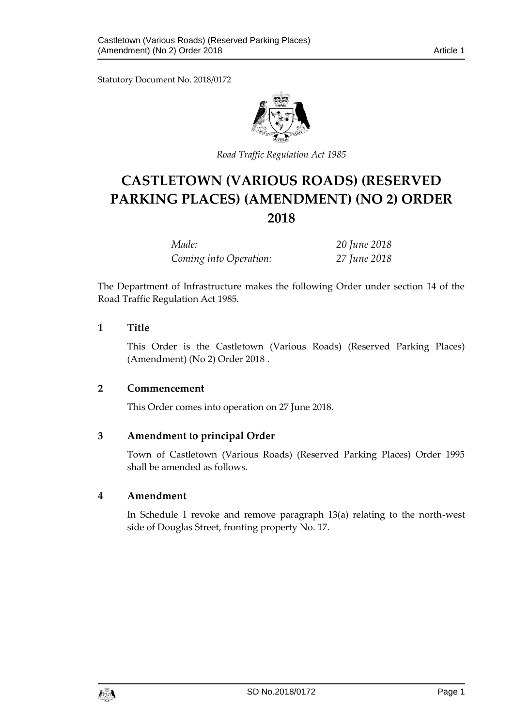Statutory Document No. 2018/0172



*Road Traffic Regulation Act 1985*

# **CASTLETOWN (VARIOUS ROADS) (RESERVED PARKING PLACES) (AMENDMENT) (NO 2) ORDER 2018**

*Made: 20 June 2018 Coming into Operation: 27 June 2018*

The Department of Infrastructure makes the following Order under section 14 of the Road Traffic Regulation Act 1985.

## **1 Title**

This Order is the Castletown (Various Roads) (Reserved Parking Places) (Amendment) (No 2) Order 2018 .

## **2 Commencement**

This Order comes into operation on 27 June 2018.

## **3 Amendment to principal Order**

Town of Castletown (Various Roads) (Reserved Parking Places) Order 1995 shall be amended as follows.

#### **4 Amendment**

In Schedule 1 revoke and remove paragraph 13(a) relating to the north-west side of Douglas Street, fronting property No. 17.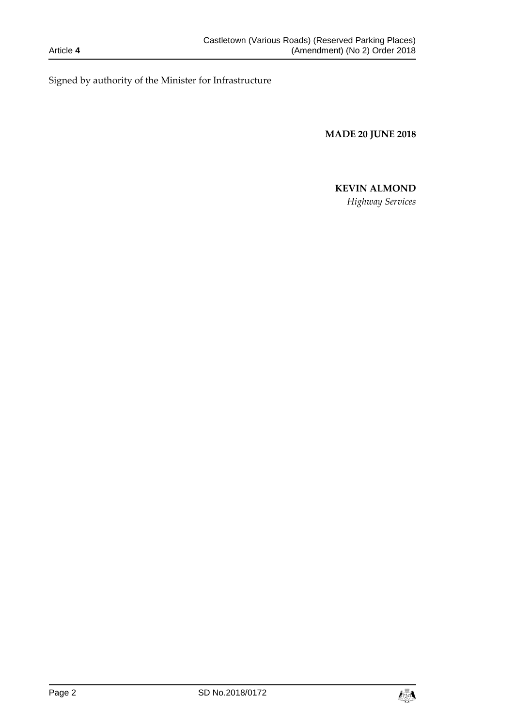Signed by authority of the Minister for Infrastructure

**MADE 20 JUNE 2018**

# **KEVIN ALMOND**

*Highway Services*